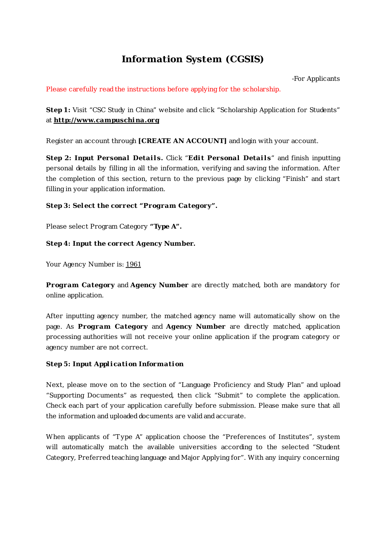# **Information System (CGSIS)**

-For Applicants

Please carefully read the instructions before applying for the scholarship.

**Step 1:** Visit "CSC Study in China" website and click "Scholarship Application for Students" at **[http://www.campuschina.org](http://www.campuschina.org/)**

Register an account through **[CREATE AN ACCOUNT]** and login with your account.

**Step 2: Input Personal Details.** Click "**Edi t Personal Details**" and finish inputting personal details by filling in all the information, verifying and saving the information. After the completion of this section, return to the previous page by clicking "Finish" and start filling in your application information.

## **Step 3: Select the correct "Program Category".**

Please select Program Category **"Type A".**

### **Step 4: Input the correct Agency Number.**

Your Agency Number is: 1961

**Program Category** and **Agency Number** are directly matched, both are mandatory for online application.

After inputting agency number, the matched agency name will automatically show on the page. As **Program Category** and **Agency Number** are directly matched, application processing authorities will not receive your online application if the program category or agency number are not correct.

#### **Step 5: Input Application Information**

Next, please move on to the section of "Language Proficiency and Study Plan" and upload "Supporting Documents" as requested, then click "Submit" to complete the application. Check each part of your application carefully before submission. Please make sure that all the information and uploaded documents are valid and accurate.

When applicants of "Type A" application choose the "Preferences of Institutes", system will automatically match the available universities according to the selected "Student Category, Preferred teaching language and Major Applying for". With any inquiry concerning